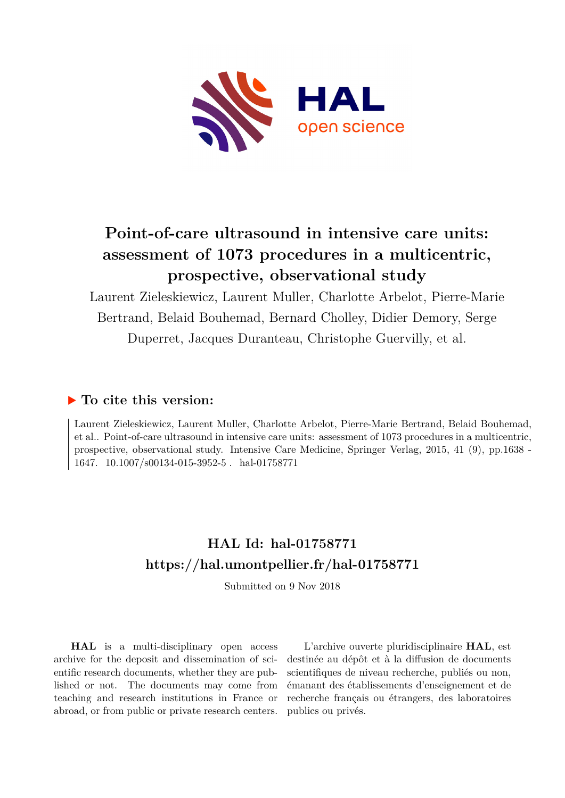

# **Point-of-care ultrasound in intensive care units: assessment of 1073 procedures in a multicentric, prospective, observational study**

Laurent Zieleskiewicz, Laurent Muller, Charlotte Arbelot, Pierre-Marie Bertrand, Belaid Bouhemad, Bernard Cholley, Didier Demory, Serge Duperret, Jacques Duranteau, Christophe Guervilly, et al.

# **To cite this version:**

Laurent Zieleskiewicz, Laurent Muller, Charlotte Arbelot, Pierre-Marie Bertrand, Belaid Bouhemad, et al.. Point-of-care ultrasound in intensive care units: assessment of 1073 procedures in a multicentric, prospective, observational study. Intensive Care Medicine, Springer Verlag, 2015, 41 (9), pp.1638 - 1647. 10.1007/s00134-015-3952-5. hal-01758771

# **HAL Id: hal-01758771 <https://hal.umontpellier.fr/hal-01758771>**

Submitted on 9 Nov 2018

**HAL** is a multi-disciplinary open access archive for the deposit and dissemination of scientific research documents, whether they are published or not. The documents may come from teaching and research institutions in France or abroad, or from public or private research centers.

L'archive ouverte pluridisciplinaire **HAL**, est destinée au dépôt et à la diffusion de documents scientifiques de niveau recherche, publiés ou non, émanant des établissements d'enseignement et de recherche français ou étrangers, des laboratoires publics ou privés.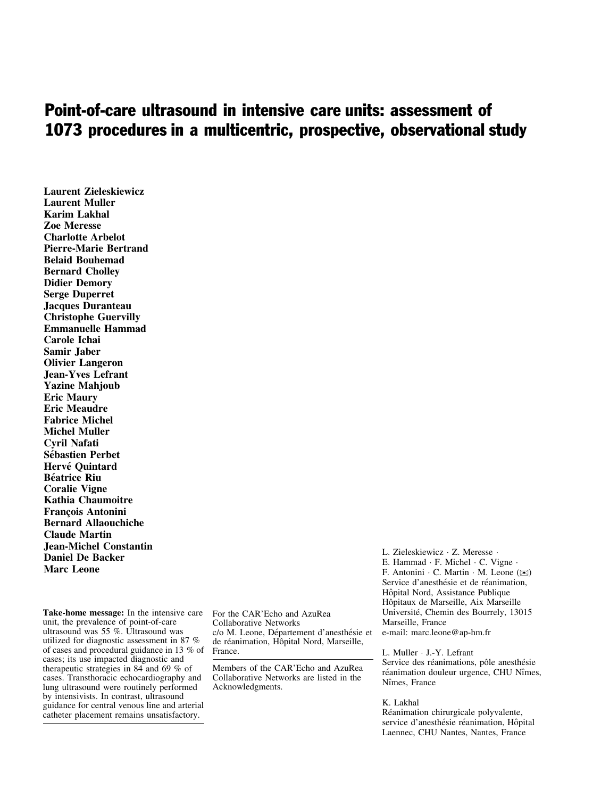# Point-of-care ultrasound in intensive care units: assessment of 1073 procedures in a multicentric, prospective, observational study

Laurent Zieleskiewicz Laurent Muller Karim Lakhal Zoe Meresse Charlotte Arbelot Pierre-Marie Bertrand Belaid Bouhemad Bernard Cholley Didier Demory Serge Duperret Jacques Duranteau Christophe Guervilly Emmanuelle Hammad Carole Ichai Samir Jaber Olivier Langeron Jean-Yves Lefrant Yazine Mahjoub Eric Maury Eric Meaudre Fabrice Michel Michel Muller Cyril Nafati Sébastien Perbet Hervé Quintard **Béatrice Riu** Coralie Vigne Kathia Chaumoitre François Antonini Bernard Allaouchiche Claude Martin Jean-Michel Constantin Daniel De Backer Marc Leone

Take-home message: In the intensive care For the CAR'Echo and AzuRea unit, the prevalence of point-of-care ultrasound was 55 %. Ultrasound was utilized for diagnostic assessment in 87 % of cases and procedural guidance in 13 % of cases; its use impacted diagnostic and therapeutic strategies in 84 and 69 % of cases. Transthoracic echocardiography and lung ultrasound were routinely performed by intensivists. In contrast, ultrasound guidance for central venous line and arterial catheter placement remains unsatisfactory.

Coll[aborative Networks](http://dx.doi.org/10.1007/s00134-015-3952-5) c/o M. Leone, Département d'anesthésie et de réanimation, Hôpital Nord, Marseille, France.

Members of the CAR'Echo and AzuRea Collaborative Networks are listed in the Acknowledgments.

L. Zieleskiewicz - Z. Meresse - E. Hammad · F. Michel · C. Vigne · F. Antonini  $\cdot$  C. Martin  $\cdot$  M. Leone ( $\boxtimes$ ) Service d'anesthésie et de réanimation, Hôpital Nord, Assistance Publique Hôpitaux de Marseille, Aix Marseille Université, Chemin des Bourrely, 13015 Marseille, France e-mail: marc.leone@ap-hm.fr

L. Muller - J.-Y. Lefrant Service des réanimations, pôle anesthésie réanimation douleur urgence, CHU Nîmes, Nîmes, France

K. Lakhal

Réanimation chirurgicale polyvalente, service d'anesthésie réanimation, Hôpital Laennec, CHU Nantes, Nantes, France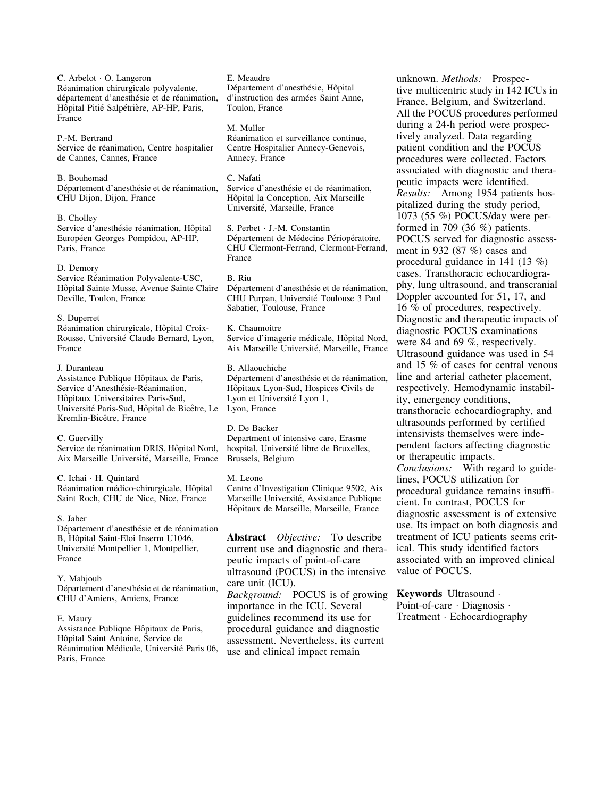C. Arbelot - O. Langeron Réanimation chirurgicale polyvalente, département d'anesthésie et de réanimation, Hôpital Pitié Salpétrière, AP-HP, Paris, France

P.-M. Bertrand Service de réanimation, Centre hospitalier de Cannes, Cannes, France

B. Bouhemad Département d'anesthésie et de réanimation, CHU Dijon, Dijon, France

B. Cholley Service d'anesthésie réanimation, Hôpital Européen Georges Pompidou, AP-HP, Paris, France

# D. Demory

Service Réanimation Polyvalente-USC, Hôpital Sainte Musse, Avenue Sainte Claire Deville, Toulon, France

S. Duperret Réanimation chirurgicale, Hôpital Croix-Rousse, Université Claude Bernard, Lyon,

J. Duranteau

France

Assistance Publique Hôpitaux de Paris, Service d'Anesthésie-Réanimation, Hôpitaux Universitaires Paris-Sud, Université Paris-Sud, Hôpital de Bicêtre, Le Lyon, France Kremlin-Bicêtre, France

C. Guervilly Service de réanimation DRIS, Hôpital Nord, Aix Marseille Université, Marseille, France

C. Ichai - H. Quintard Réanimation médico-chirurgicale, Hôpital Saint Roch, CHU de Nice, Nice, France

#### S. Jaber

Département d'anesthésie et de réanimation B, Hôpital Saint-Eloi Inserm U1046, Université Montpellier 1, Montpellier, France

#### Y. Mahjoub

Département d'anesthésie et de réanimation, CHU d'Amiens, Amiens, France

#### E. Maury

Assistance Publique Hôpitaux de Paris, Hôpital Saint Antoine, Service de Réanimation Médicale, Université Paris 06, Paris, France

E. Meaudre Département d'anesthésie, Hôpital d'instruction des armées Saint Anne, Toulon, France

M. Muller Réanimation et surveillance continue, Centre Hospitalier Annecy-Genevois, Annecy, France

C. Nafati Service d'anesthésie et de réanimation, Hôpital la Conception, Aix Marseille Université, Marseille, France

S. Perbet - J.-M. Constantin Département de Médecine Périopératoire, CHU Clermont-Ferrand, Clermont-Ferrand, France

B. Riu

Département d'anesthésie et de réanimation, CHU Purpan, Université Toulouse 3 Paul Sabatier, Toulouse, France

K. Chaumoitre Service d'imagerie médicale, Hôpital Nord, Aix Marseille Université, Marseille, France

### B. Allaouchiche

Département d'anesthésie et de réanimation, Hôpitaux Lyon-Sud, Hospices Civils de Lyon et Université Lyon 1,

D. De Backer

Department of intensive care, Erasme hospital, Université libre de Bruxelles, Brussels, Belgium

M. Leone

Centre d'Investigation Clinique 9502, Aix Marseille Université, Assistance Publique Hôpitaux de Marseille, Marseille, France

Abstract Objective: To describe current use and diagnostic and therapeutic impacts of point-of-care ultrasound (POCUS) in the intensive care unit (ICU).

Background: POCUS is of growing importance in the ICU. Several guidelines recommend its use for procedural guidance and diagnostic assessment. Nevertheless, its current use and clinical impact remain

unknown. Methods: Prospective multicentric study in 142 ICUs in France, Belgium, and Switzerland. All the POCUS procedures performed during a 24-h period were prospectively analyzed. Data regarding patient condition and the POCUS procedures were collected. Factors associated with diagnostic and therapeutic impacts were identified. Results: Among 1954 patients hospitalized during the study period, 1073 (55 %) POCUS/day were performed in 709 (36 %) patients. POCUS served for diagnostic assessment in 932 (87 %) cases and procedural guidance in 141 (13 %) cases. Transthoracic echocardiography, lung ultrasound, and transcranial Doppler accounted for 51, 17, and 16 % of procedures, respectively. Diagnostic and therapeutic impacts of diagnostic POCUS examinations were 84 and 69 %, respectively. Ultrasound guidance was used in 54 and 15 % of cases for central venous line and arterial catheter placement, respectively. Hemodynamic instability, emergency conditions, transthoracic echocardiography, and ultrasounds performed by certified intensivists themselves were independent factors affecting diagnostic or therapeutic impacts. Conclusions: With regard to guidelines, POCUS utilization for procedural guidance remains insufficient. In contrast, POCUS for diagnostic assessment is of extensive use. Its impact on both diagnosis and treatment of ICU patients seems critical. This study identified factors associated with an improved clinical value of POCUS.

Keywords Ultrasound - Point-of-care · Diagnosis · Treatment - Echocardiography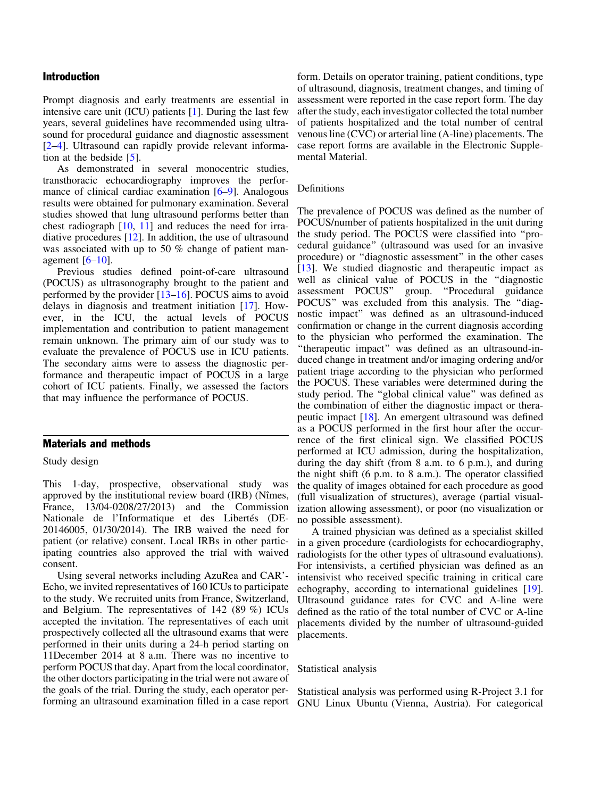### Introduction

Prompt diagnosis and early treatments are essential in intensive care unit (ICU) patients [1]. During the last few years, several guidelines have recommended using ultrasound for procedural guidance and diagnostic assessment [2–4]. Ultrasound can rapidly provide relevant information at the bedside [5].

As demonstrated in several monocentric studies, transthoracic echocardiography improves the performance of clinical cardiac examination [6–9]. Analogous results were obtained for pulmonary examination. Several studies showed that lung ultrasound performs better than chest radiograph [10, 11] and reduces the need for irradiative procedures [12]. In addition, the use of ultrasound was associated with up to 50 % change of patient management [6–10].

Previous studies defined point-of-care ultrasound (POCUS) as ultrasonography brought to the patient and performed by the provider [13–16]. POCUS aims to avoid delays in diagnosis and treatment initiation [17]. However, in the ICU, the actual levels of POCUS implementation and contribution to patient management remain unknown. The primary aim of our study was to evaluate the prevalence of POCUS use in ICU patients. The secondary aims were to assess the diagnostic performance and therapeutic impact of POCUS in a large cohort of ICU patients. Finally, we assessed the factors that may influence the performance of POCUS.

#### Materials and methods

Study design

This 1-day, prospective, observational study was approved by the institutional review board (IRB) (Nîmes, France, 13/04-0208/27/2013) and the Commission Nationale de l'Informatique et des Libertés (DE-20146005, 01/30/2014). The IRB waived the need for patient (or relative) consent. Local IRBs in other participating countries also approved the trial with waived consent.

Using several networks including AzuRea and CAR'- Echo, we invited representatives of 160 ICUs to participate to the study. We recruited units from France, Switzerland, and Belgium. The representatives of 142 (89 %) ICUs accepted the invitation. The representatives of each unit prospectively collected all the ultrasound exams that were performed in their units during a 24-h period starting on 11December 2014 at 8 a.m. There was no incentive to perform POCUS that day. Apart from the local coordinator, the other doctors participating in the trial were not aware of the goals of the trial. During the study, each operator performing an ultrasound examination filled in a case report form. Details on operator training, patient conditions, type of ultrasound, diagnosis, treatment changes, and timing of assessment were reported in the case report form. The day after the study, each investigator collected the total number of patients hospitalized and the total number of central venous line (CVC) or arterial line (A-line) placements. The case report forms are available in the Electronic Supplemental Material.

#### Definitions

The prevalence of POCUS was defined as the number of POCUS/number of patients hospitalized in the unit during the study period. The POCUS were classified into ''procedural guidance'' (ultrasound was used for an invasive procedure) or ''diagnostic assessment'' in the other cases [13]. We studied diagnostic and therapeutic impact as well as clinical value of POCUS in the ''diagnostic assessment POCUS'' group. ''Procedural guidance POCUS" was excluded from this analysis. The "diagnostic impact'' was defined as an ultrasound-induced confirmation or change in the current diagnosis according to the physician who performed the examination. The ''therapeutic impact'' was defined as an ultrasound-induced change in treatment and/or imaging ordering and/or patient triage according to the physician who performed the POCUS. These variables were determined during the study period. The ''global clinical value'' was defined as the combination of either the diagnostic impact or therapeutic impact [18]. An emergent ultrasound was defined as a POCUS performed in the first hour after the occurrence of the first clinical sign. We classified POCUS performed at ICU admission, during the hospitalization, during the day shift (from 8 a.m. to 6 p.m.), and during the night shift (6 p.m. to 8 a.m.). The operator classified the quality of images obtained for each procedure as good (full visualization of structures), average (partial visualization allowing assessment), or poor (no visualization or no possible assessment).

A trained physician was defined as a specialist skilled in a given procedure (cardiologists for echocardiography, radiologists for the other types of ultrasound evaluations). For intensivists, a certified physician was defined as an intensivist who received specific training in critical care echography, according to international guidelines [19]. Ultrasound guidance rates for CVC and A-line were defined as the ratio of the total number of CVC or A-line placements divided by the number of ultrasound-guided placements.

#### Statistical analysis

Statistical analysis was performed using R-Project 3.1 for GNU Linux Ubuntu (Vienna, Austria). For categorical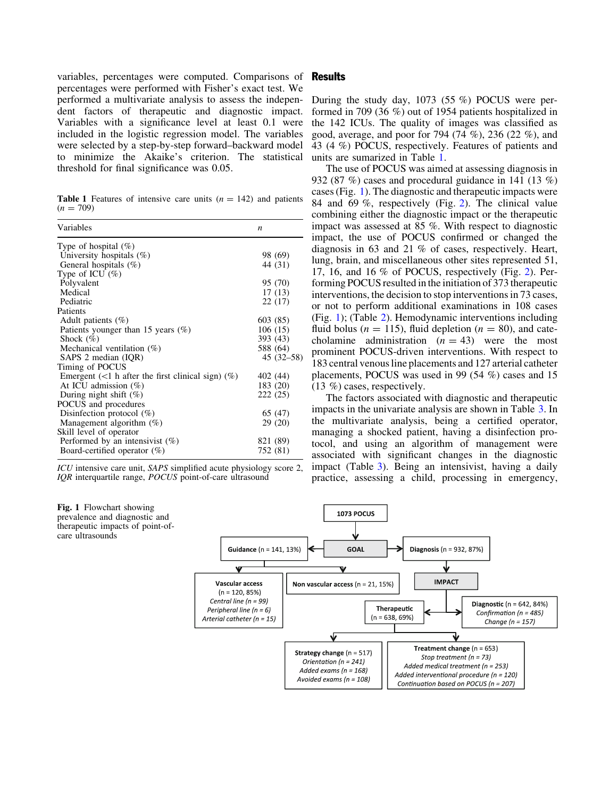variables, percentages were computed. Comparisons of percentages were performed with Fisher's exact test. We performed a multivariate analysis to assess the independent factors of therapeutic and diagnostic impact. Variables with a significance level at least 0.1 were included in the logistic regression model. The variables were selected by a step-by-step forward–backward model to minimize the Akaike's criterion. The statistical threshold for final significance was 0.05.

**Table 1** Features of intensive care units  $(n = 142)$  and patients  $(n = 709)$ 

| Variables                                              | n             |
|--------------------------------------------------------|---------------|
| Type of hospital $(\%)$                                |               |
| University hospitals $(\%)$                            | 98 (69)       |
| General hospitals $(\%)$                               | 44 (31)       |
| Type of ICU $(\%)$                                     |               |
| Polyvalent                                             | 95 (70)       |
| Medical                                                | 17(13)        |
| Pediatric                                              | 22 (17)       |
| Patients                                               |               |
| Adult patients $(\% )$                                 | 603 (85)      |
| Patients younger than 15 years $(\%)$                  | 106(15)       |
| Shock $(\%)$                                           | 393 (43)      |
| Mechanical ventilation $(\%)$                          | 588 (64)      |
| SAPS 2 median (IOR)                                    | $45(32 - 58)$ |
| Timing of POCUS                                        |               |
| Emergent $(<1$ h after the first clinical sign) $(\%)$ | 402 (44)      |
| At ICU admission $(\%)$                                | 183 (20)      |
| During night shift $(\%)$                              | 222 (25)      |
| POCUS and procedures                                   |               |
| Disinfection protocol $(\%)$                           | 65 (47)       |
| Management algorithm $(\%)$                            | 29(20)        |
| Skill level of operator                                |               |
| Performed by an intensivist (%)                        | 821 (89)      |
| Board-certified operator (%)                           | 752 (81)      |
|                                                        |               |

ICU intensive care unit, SAPS simplified acute physiology score 2, IQR interquartile range, POCUS point-of-care ultrasound



care ultrasounds

# Results

During the study day, 1073 (55 %) POCUS were performed in 709 (36 %) out of 1954 patients hospitalized in the 142 ICUs. The quality of images was classified as good, average, and poor for 794 (74 %), 236 (22 %), and 43 (4 %) POCUS, respectively. Features of patients and units are sumarized in Table 1.

The use of POCUS was aimed at assessing diagnosis in 932 (87 %) cases and procedural guidance in 141 (13 %) cases (Fig. 1). The diagnostic and therapeutic impacts were 84 and 69 %, respectively (Fig. 2). The clinical value combining either the diagnostic impact or the therapeutic impact was assessed at 85 %. With respect to diagnostic impact, the use of POCUS confirmed or changed the diagnosis in 63 and 21 % of cases, respectively. Heart, lung, brain, and miscellaneous other sites represented 51, 17, 16, and 16 % of POCUS, respectively (Fig. 2). Performing POCUS resulted in the initiation of 373 therapeutic interventions, the decision to stop interventions in 73 cases, or not to perform additional examinations in 108 cases (Fig. 1); (Table 2). Hemodynamic interventions including fluid bolus ( $n = 115$ ), fluid depletion ( $n = 80$ ), and catecholamine administration  $(n = 43)$  were the most prominent POCUS-driven interventions. With respect to 183 central venous line placements and 127 arterial catheter placements, POCUS was used in 99 (54 %) cases and 15 (13 %) cases, respectively.

The factors associated with diagnostic and therapeutic impacts in the univariate analysis are shown in Table 3. In the multivariate analysis, being a certified operator, managing a shocked patient, having a disinfection protocol, and using an algorithm of management were associated with significant changes in the diagnostic impact (Table 3). Being an intensivist, having a daily practice, assessing a child, processing in emergency,

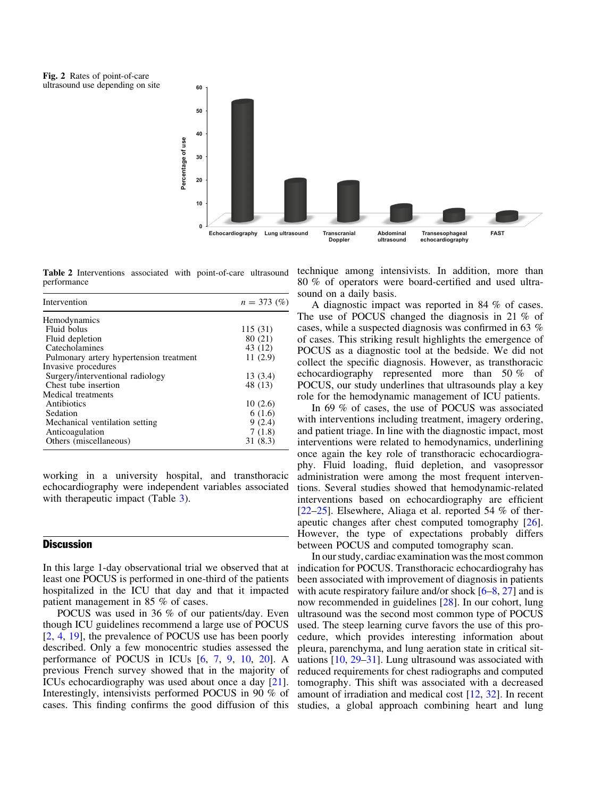Fig. 2 Rates of point-of-care ultrasound use depending on site



Table 2 Interventions associated with point-of-care ultrasound performance

| Intervention                            | $n = 373 \; (\%)$ |
|-----------------------------------------|-------------------|
| Hemodynamics                            |                   |
| Fluid bolus                             | 115(31)           |
| Fluid depletion                         | 80 (21)           |
| Catecholamines                          | 43 (12)           |
| Pulmonary artery hypertension treatment | 11(2.9)           |
| Invasive procedures                     |                   |
| Surgery/interventional radiology        | 13 (3.4)          |
| Chest tube insertion                    | 48 (13)           |
| Medical treatments                      |                   |
| Antibiotics                             | 10(2.6)           |
| Sedation                                | 6(1.6)            |
| Mechanical ventilation setting          | 9(2.4)            |
| Anticoagulation                         | 7(1.8)            |
| Others (miscellaneous)                  | 31(8.3)           |

working in a university hospital, and transthoracic echocardiography were independent variables associated with therapeutic impact (Table 3).

# **Discussion**

In this large 1-day observational trial we observed that at least one POCUS is performed in one-third of the patients hospitalized in the ICU that day and that it impacted patient management in 85 % of cases.

POCUS was used in 36 % of our patients/day. Even though ICU guidelines recommend a large use of POCUS [2, 4, 19], the prevalence of POCUS use has been poorly described. Only a few monocentric studies assessed the performance of POCUS in ICUs [6, 7, 9, 10, 20]. A previous French survey showed that in the majority of ICUs echocardiography was used about once a day [21]. Interestingly, intensivists performed POCUS in 90 % of cases. This finding confirms the good diffusion of this technique among intensivists. In addition, more than 80 % of operators were board-certified and used ultrasound on a daily basis.

A diagnostic impact was reported in 84 % of cases. The use of POCUS changed the diagnosis in 21 % of cases, while a suspected diagnosis was confirmed in 63 % of cases. This striking result highlights the emergence of POCUS as a diagnostic tool at the bedside. We did not collect the specific diagnosis. However, as transthoracic echocardiography represented more than 50 % of POCUS, our study underlines that ultrasounds play a key role for the hemodynamic management of ICU patients.

In 69 % of cases, the use of POCUS was associated with interventions including treatment, imagery ordering, and patient triage. In line with the diagnostic impact, most interventions were related to hemodynamics, underlining once again the key role of transthoracic echocardiography. Fluid loading, fluid depletion, and vasopressor administration were among the most frequent interventions. Several studies showed that hemodynamic-related interventions based on echocardiography are efficient [22–25]. Elsewhere, Aliaga et al. reported 54  $\%$  of therapeutic changes after chest computed tomography [26]. However, the type of expectations probably differs between POCUS and computed tomography scan.

In our study, cardiac examination was the most common indication for POCUS. Transthoracic echocardiograhy has been associated with improvement of diagnosis in patients with acute respiratory failure and/or shock  $[6–8, 27]$  and is now recommended in guidelines [28]. In our cohort, lung ultrasound was the second most common type of POCUS used. The steep learning curve favors the use of this procedure, which provides interesting information about pleura, parenchyma, and lung aeration state in critical situations [10, 29–31]. Lung ultrasound was associated with reduced requirements for chest radiographs and computed tomography. This shift was associated with a decreased amount of irradiation and medical cost [12, 32]. In recent studies, a global approach combining heart and lung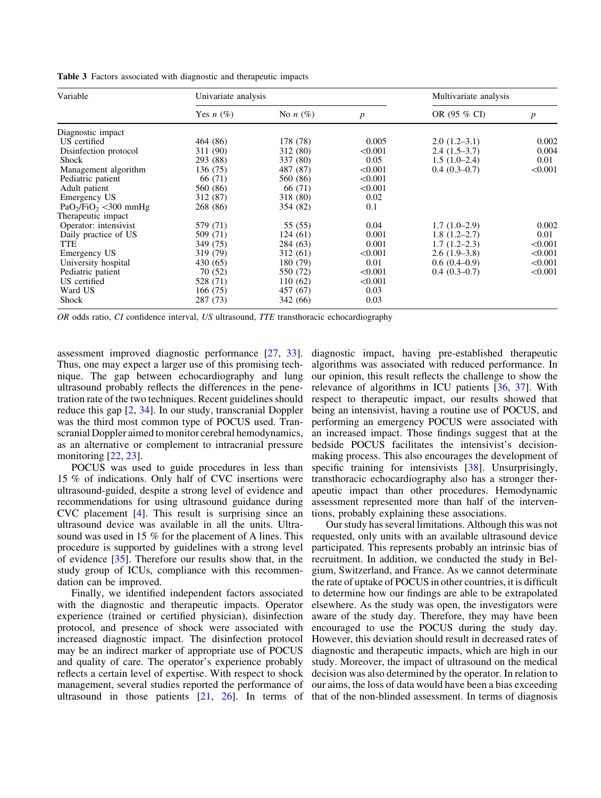Table 3 Factors associated with diagnostic and therapeutic impacts

| Variable                                      | Univariate analysis |            |                  | Multivariate analysis |                  |
|-----------------------------------------------|---------------------|------------|------------------|-----------------------|------------------|
|                                               | Yes $n(\%)$         | No $n(\%)$ | $\boldsymbol{p}$ | OR (95 % CI)          | $\boldsymbol{p}$ |
| Diagnostic impact                             |                     |            |                  |                       |                  |
| US certified                                  | 464 (86)            | 178 (78)   | 0.005            | $2.0(1.2-3.1)$        | 0.002            |
| Disinfection protocol                         | 311 (90)            | 312 (80)   | < 0.001          | $2.4(1.5-3.7)$        | 0.004            |
| <b>Shock</b>                                  | 293 (88)            | 337 (80)   | 0.05             | $1.5(1.0-2.4)$        | 0.01             |
| Management algorithm                          | 136 (75)            | 487 (87)   | < 0.001          | $0.4(0.3-0.7)$        | < 0.001          |
| Pediatric patient                             | 66 (71)             | 560 (86)   | < 0.001          |                       |                  |
| Adult patient                                 | 560 (86)            | 66 (71)    | < 0.001          |                       |                  |
| Emergency US                                  | 312 (87)            | 318 (80)   | 0.02             |                       |                  |
| PaO <sub>2</sub> /FiO <sub>2</sub> < 300 mmHg | 268 (86)            | 354 (82)   | 0.1              |                       |                  |
| Therapeutic impact                            |                     |            |                  |                       |                  |
| Operator: intensivist                         | 579 (71)            | 55 (55)    | 0.04             | $1.7(1.0-2.9)$        | 0.002            |
| Daily practice of US                          | 509 (71)            | 124 (61)   | 0.001            | $1.8(1.2-2.7)$        | 0.01             |
| <b>TTE</b>                                    | 349 (75)            | 284 (63)   | 0.001            | $1.7(1.2-2.3)$        | < 0.001          |
| Emergency US                                  | 319 (79)            | 312(61)    | < 0.001          | $2.6(1.9-3.8)$        | < 0.001          |
| University hospital                           | 430 (65)            | 180 (79)   | 0.01             | $0.6(0.4-0.9)$        | < 0.001          |
| Pediatric patient                             | 70 (52)             | 550 (72)   | < 0.001          | $0.4(0.3-0.7)$        | < 0.001          |
| US certified                                  | 528 (71)            | 110(62)    | < 0.001          |                       |                  |
| Ward US                                       | 166(75)             | 457 (67)   | 0.03             |                       |                  |
| Shock                                         | 287 (73)            | 342 (66)   | 0.03             |                       |                  |

OR odds ratio, CI confidence interval, US ultrasound, TTE transthoracic echocardiography

assessment improved diagnostic performance [27, 33]. Thus, one may expect a larger use of this promising technique. The gap between echocardiography and lung ultrasound probably reflects the differences in the penetration rate of the two techniques. Recent guidelines should reduce this gap [2, 34]. In our study, transcranial Doppler was the third most common type of POCUS used. Transcranial Doppler aimed to monitor cerebral hemodynamics, as an alternative or complement to intracranial pressure monitoring [22, 23].

POCUS was used to guide procedures in less than 15 % of indications. Only half of CVC insertions were ultrasound-guided, despite a strong level of evidence and recommendations for using ultrasound guidance during CVC placement [4]. This result is surprising since an ultrasound device was available in all the units. Ultrasound was used in 15 % for the placement of A lines. This procedure is supported by guidelines with a strong level of evidence [35]. Therefore our results show that, in the study group of ICUs, compliance with this recommendation can be improved.

Finally, we identified independent factors associated with the diagnostic and therapeutic impacts. Operator experience (trained or certified physician), disinfection protocol, and presence of shock were associated with increased diagnostic impact. The disinfection protocol may be an indirect marker of appropriate use of POCUS and quality of care. The operator's experience probably reflects a certain level of expertise. With respect to shock management, several studies reported the performance of ultrasound in those patients [21, 26]. In terms of that of the non-blinded assessment. In terms of diagnosis

diagnostic impact, having pre-established therapeutic algorithms was associated with reduced performance. In our opinion, this result reflects the challenge to show the relevance of algorithms in ICU patients [36, 37]. With respect to therapeutic impact, our results showed that being an intensivist, having a routine use of POCUS, and performing an emergency POCUS were associated with an increased impact. Those findings suggest that at the bedside POCUS facilitates the intensivist's decisionmaking process. This also encourages the development of specific training for intensivists [38]. Unsurprisingly, transthoracic echocardiography also has a stronger therapeutic impact than other procedures. Hemodynamic assessment represented more than half of the interventions, probably explaining these associations.

Our study has several limitations. Although this was not requested, only units with an available ultrasound device participated. This represents probably an intrinsic bias of recruitment. In addition, we conducted the study in Belgium, Switzerland, and France. As we cannot determinate the rate of uptake of POCUS in other countries, it is difficult to determine how our findings are able to be extrapolated elsewhere. As the study was open, the investigators were aware of the study day. Therefore, they may have been encouraged to use the POCUS during the study day. However, this deviation should result in decreased rates of diagnostic and therapeutic impacts, which are high in our study. Moreover, the impact of ultrasound on the medical decision was also determined by the operator. In relation to our aims, the loss of data would have been a bias exceeding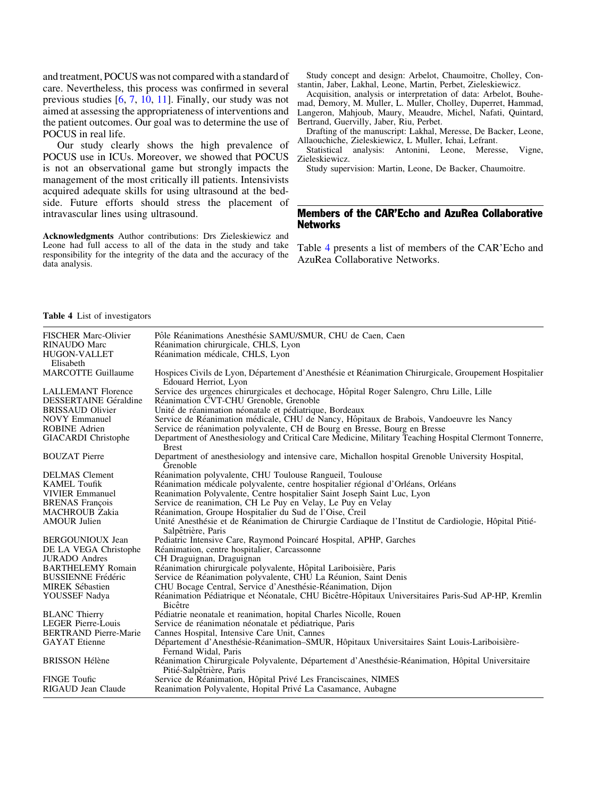and treatment, POCUS was not compared with a standard of care. Nevertheless, this process was confirmed in several previous studies [6, 7, 10, 11]. Finally, our study was not aimed at assessing the appropriateness of interventions and the patient outcomes. Our goal was to determine the use of POCUS in real life.

Our study clearly shows the high prevalence of POCUS use in ICUs. Moreover, we showed that POCUS is not an observational game but strongly impacts the management of the most critically ill patients. Intensivists acquired adequate skills for using ultrasound at the bedside. Future efforts should stress the placement of intravascular lines using ultrasound.

Acknowledgments Author contributions: Drs Zieleskiewicz and Leone had full access to all of the data in the study and take responsibility for the integrity of the data and the accuracy of the data analysis.

Study concept and design: Arbelot, Chaumoitre, Cholley, Constantin, Jaber, Lakhal, Leone, Martin, Perbet, Zieleskiewicz.

Acquisition, analysis or interpretation of data: Arbelot, Bouhemad, Demory, M. Muller, L. Muller, Cholley, Duperret, Hammad, Langeron, Mahjoub, Maury, Meaudre, Michel, Nafati, Quintard, Bertrand, Guervilly, Jaber, Riu, Perbet.

Drafting of the manuscript: Lakhal, Meresse, De Backer, Leone, Allaouchiche, Zieleskiewicz, L Muller, Ichai, Lefrant.

Statistical analysis: Antonini, Leone, Meresse, Vigne, Zieleskiewicz.

Study supervision: Martin, Leone, De Backer, Chaumoitre.

### Members of the CAR'Echo and AzuRea Collaborative **Networks**

Table 4 presents a list of members of the CAR'Echo and AzuRea Collaborative Networks.

Table 4 List of investigators

| <b>FISCHER Marc-Olivier</b><br><b>RINAUDO</b> Marc | Pôle Réanimations Anesthésie SAMU/SMUR, CHU de Caen, Caen<br>Réanimation chirurgicale, CHLS, Lyon                              |
|----------------------------------------------------|--------------------------------------------------------------------------------------------------------------------------------|
| <b>HUGON-VALLET</b><br>Elisabeth                   | Réanimation médicale, CHLS, Lyon                                                                                               |
| <b>MARCOTTE Guillaume</b>                          | Hospices Civils de Lyon, Département d'Anesthésie et Réanimation Chirurgicale, Groupement Hospitalier<br>Edouard Herriot, Lyon |
| <b>LALLEMANT Florence</b>                          | Service des urgences chirurgicales et dechocage, Hôpital Roger Salengro, Chru Lille, Lille                                     |
| DESSERTAINE Géraldine                              | Réanimation CVT-CHU Grenoble, Grenoble                                                                                         |
| <b>BRISSAUD Olivier</b>                            | Unité de réanimation néonatale et pédiatrique, Bordeaux                                                                        |
| <b>NOVY Emmanuel</b>                               | Service de Réanimation médicale, CHU de Nancy, Hôpitaux de Brabois, Vandoeuvre les Nancy                                       |
| <b>ROBINE Adrien</b>                               | Service de réanimation polyvalente, CH de Bourg en Bresse, Bourg en Bresse                                                     |
| <b>GIACARDI</b> Christophe                         | Department of Anesthesiology and Critical Care Medicine, Military Teaching Hospital Clermont Tonnerre,<br><b>Brest</b>         |
| <b>BOUZAT</b> Pierre                               | Department of anesthesiology and intensive care, Michallon hospital Grenoble University Hospital,<br>Grenoble                  |
| <b>DELMAS</b> Clement                              | Réanimation polyvalente, CHU Toulouse Rangueil, Toulouse                                                                       |
| <b>KAMEL Toufik</b>                                | Réanimation médicale polyvalente, centre hospitalier régional d'Orléans, Orléans                                               |
| <b>VIVIER Emmanuel</b>                             | Reanimation Polyvalente, Centre hospitalier Saint Joseph Saint Luc, Lyon                                                       |
| <b>BRENAS</b> François                             | Service de reanimation, CH Le Puy en Velay, Le Puy en Velay                                                                    |
| <b>MACHROUB Zakia</b>                              | Réanimation, Groupe Hospitalier du Sud de l'Oise, Creil                                                                        |
| <b>AMOUR Julien</b>                                | Unité Anesthésie et de Réanimation de Chirurgie Cardiaque de l'Institut de Cardiologie, Hôpital Pitié-<br>Salpêtrière, Paris   |
| <b>BERGOUNIOUX Jean</b>                            | Pediatric Intensive Care, Raymond Poincaré Hospital, APHP, Garches                                                             |
| DE LA VEGA Christophe                              | Réanimation, centre hospitalier, Carcassonne                                                                                   |
| <b>JURADO</b> Andres                               | CH Draguignan, Draguignan                                                                                                      |
| <b>BARTHELEMY Romain</b>                           | Réanimation chirurgicale polyvalente, Hôpital Lariboisière, Paris                                                              |
| <b>BUSSIENNE Frédéric</b>                          | Service de Réanimation polyvalente, CHU La Réunion, Saint Denis                                                                |
| <b>MIREK Sébastien</b>                             | CHU Bocage Central, Service d'Anesthésie-Réanimation, Dijon                                                                    |
| YOUSSEF Nadya                                      | Réanimation Pédiatrique et Néonatale, CHU Bicêtre-Hôpitaux Universitaires Paris-Sud AP-HP, Kremlin<br><b>Bicêtre</b>           |
| <b>BLANC</b> Thierry                               | Pédiatrie neonatale et reanimation, hopital Charles Nicolle, Rouen                                                             |
| <b>LEGER Pierre-Louis</b>                          | Service de réanimation néonatale et pédiatrique, Paris                                                                         |
| <b>BERTRAND Pierre-Marie</b>                       | Cannes Hospital, Intensive Care Unit, Cannes                                                                                   |
| <b>GAYAT</b> Etienne                               | Département d'Anesthésie-Réanimation-SMUR, Hôpitaux Universitaires Saint Louis-Lariboisière-<br>Fernand Widal, Paris           |
| <b>BRISSON Hélène</b>                              | Réanimation Chirurgicale Polyvalente, Département d'Anesthésie-Réanimation, Hôpital Universitaire<br>Pitié-Salpêtrière, Paris  |
| <b>FINGE Toufic</b>                                | Service de Réanimation, Hôpital Privé Les Franciscaines, NIMES                                                                 |
| RIGAUD Jean Claude                                 | Reanimation Polyvalente, Hopital Privé La Casamance, Aubagne                                                                   |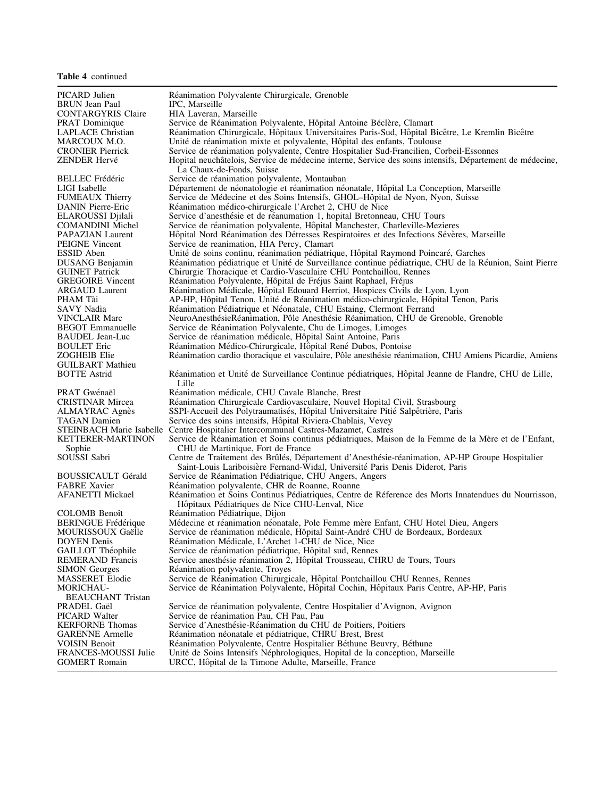Table 4 continued

PICARD Julien Réanimation Polyvalente Chirurgicale, Grenoble<br>BRUN Jean Paul IPC, Marseille BRUN Jean Paul IPC, Marseille<br>CONTARGYRIS Claire HIA Laveran. Marseille CONTARGYRIS Claire<br>PRAT Dominique PRAT Dominique Service de Réanimation Polyvalente, Hôpital Antoine Béclère, Clamart LAPLACE Christian Réanimation Chirurgicale, Hôpital Universitaires Paris-Sud, Hôpital E LAPLACE Christian Réanimation Chirurgicale, Hôpitaux Universitaires Paris-Sud, Hôpital Bicêtre, Le Kremlin Bicêtre<br>MARCOUX M.O. Unité de réanimation mixte et polyvalente. Hôpital des enfants. Toulouse MARCOUX M.O. Unité de réanimation mixte et polyvalente, Hôpital des enfants, Toulouse<br>CRONIER Pierrick Service de réanimation polyvalente. Centre Hospitalier Sud-Francilien. Co CRONIER Pierrick Service de réanimation polyvalente, Centre Hospitalier Sud-Francilien, Corbeil-Essonnes<br>ZENDER Hervé Hopital neuchâtelois. Service de médecine interne. Service des soins intensifs. Départeme Hopital neuchâtelois, Service de médecine interne, Service des soins intensifs, Département de médecine, La Chaux-de-Fonds, Suisse BELLEC Frédéric Service de réanimation polyvalente, Montauban<br>LIGI Isabelle Département de néonatologie et réanimation néo LIGI Isabelle Département de néonatologie et réanimation néonatale, Hôpital La Conception, Marseille<br>FUMEAUX Thierry Service de Médecine et des Soins Intensifs, GHOL-Hôpital de Nyon, Nyon, Suisse Service de Médecine et des Soins Intensifs, GHOL-Hôpital de Nyon, Nyon, Suisse DANIN Pierre-Eric **Réanimation médico-chirurgicale l'Archet 2, CHU de Nice**<br>ELAROUSSI Diilali Service d'anesthésie et de réanumation 1, hopital Bretonnes ELAROUSSI Djilali Service d'anesthésie et de réanumation 1, hopital Bretonneau, CHU Tours<br>COMANDINI Michel Service de réanimation polyvalente, Hôpital Manchester, Charleville-Mezie COMANDINI Michel Service de réanimation polyvalente, Hôpital Manchester, Charleville-Mezieres<br>
PAPAZIAN Laurent Hôpital Nord Réanimation des Détresses Respiratoires et des Infections Sévère PAPAZIAN Laurent Hôpital Nord Réanimation des Détresses Respiratoires et des Infections Sévères, Marseille<br>PEIGNE Vincent Service de reanimation. HIA Percy. Clamart PEIGNE Vincent Service de reanimation, HIA Percy, Clamart ESSID Aben Unité de soins continu. réanimation pédiatric ESSID Aben Vinité de soins continu, réanimation pédiatrique, Hôpital Raymond Poincaré, Garches<br>DUSANG Benjamin Réanimation pédiatrique et Unité de Surveillance continue pédiatrique, CHU de la Ré DUSANG Benjamin Réanimation pédiatrique et Unité de Surveillance continue pédiatrique, CHU de la Réunion, Saint Pierre<br>Clui de la Réunion, Saint Pierre Chrique et Cardio-Vasculaire CHU Pontchaillou. Rennes GUINET Patrick Chirurgie Thoracique et Cardio-Vasculaire CHU Pontchaillou, Rennes<br>GREGOIRE Vincent Réanimation Polyvalente, Hôpital de Fréjus Saint Raphael, Fréjus GREGOIRE Vincent Réanimation Polyvalente, Hôpital de Fréjus Saint Raphael, Fréjus<br>ARGAUD Laurent Réanimation Médicale, Hôpital Edouard Herriot, Hospices Civils Réanimation Médicale, Hôpital Edouard Herriot, Hospices Civils de Lyon, Lyon PHAM Tài *AP-HP*, Hôpital Tenon, Unité de Réanimation médico-chirurgicale, Hôpital Tenon, Paris SAVY Nadia Réanimation Pédiatrique et Néonatale, CHU Estaing, Clermont Ferrand SAVY Nadia **Réanimation Pédiatrique et Néonatale, CHU Estaing, Clermont Ferrand**<br>
VINCLAIR Marc **NeuroAnesthésieRéanimation, Pôle Anesthésie Réanimation**, CHU de G VINCLAIR Marc MeuroAnesthésieRéanimation, Pôle Anesthésie Réanimation, CHU de Grenoble, Grenoble<br>BEGOT Emmanuelle Service de Réanimation Polyvalente. Chu de Limoges. Limoges Service de Réanimation Polyvalente, Chu de Limoges, Limoges BAUDEL Jean-Luc Service de réanimation médicale, Hôpital Saint Antoine, Paris<br>BOULET Eric Réanimation Médico-Chirurgicale. Hôpital René Dubos. Ponto Réanimation Médico-Chirurgicale, Hôpital René Dubos, Pontoise ZOGHEIB Elie GUILBART Mathieu Réanimation cardio thoracique et vasculaire, Pôle anesthésie réanimation, CHU Amiens Picardie, Amiens Réanimation et Unité de Surveillance Continue pédiatriques, Hôpital Jeanne de Flandre, CHU de Lille, Lille PRAT Gwénaël **Reanimation médicale, CHU Cavale Blanche, Brest** CRISTINAR Mircea Re<sup>a</sup>nimation Chirurgicale Cardiovasculaire, Nouvel CRISTINAR Mircea Réanimation Chirurgicale Cardiovasculaire, Nouvel Hopital Civil, Strasbourg<br>ALMAYRAC Agnès SSPI-Accueil des Polytraumatisés, Hôpital Universitaire Pitié Salpêtrière, Pari ALMAYRAC Agnès SSPI-Accueil des Polytraumatisés, Hôpital Universitaire Pitié Salpêtrière, Paris<br>TAGAN Damien Service des soins intensifs. Hôpital Riviera-Chablais. Vevev Service des soins intensifs, Hôpital Riviera-Chablais, Vevey STEINBACH Marie Isabelle Centre Hospitalier Intercommunal Castres-Mazamet, Castres KETTERER-MARTINON Sophie<br>SOUSSI Sabri Service de Réanimation et Soins continus pédiatriques, Maison de la Femme de la Mère et de l'Enfant, CHU de Martinique, Fort de France Centre de Traitement des Brûlés, Département d'Anesthésie-réanimation, AP-HP Groupe Hospitalier Saint-Louis Lariboisière Fernand-Widal, Université Paris Denis Diderot, Paris BOUSSICAULT Gérald Service de Réanimation Pédiatrique, CHU Angers, Angers FABRE Xavier **Reanimation polyvalente, CHR de Roanne, Roanne**<br>AFANETTI Mickael **Re**´Animation et Soins Continus Pédiatriques, Centre Réanimation et Soins Continus Pédiatriques, Centre de Réference des Morts Innatendues du Nourrisson, Hôpitaux Pédiatriques de Nice CHU-Lenval, Nice COLOMB Benoît<br>
BERINGUE Frédérique Médecine et réanimation néonai BERINGUE Frédérique Médecine et réanimation néonatale, Pole Femme mère Enfant, CHU Hotel Dieu, Angers<br>MOURISSOUX Gaëlle Service de réanimation médicale, Hôpital Saint-André CHU de Bordeaux, Bordeaux Service de réanimation médicale, Hôpital Saint-André CHU de Bordeaux, Bordeaux DOYEN Denis Réanimation Médicale, L'Archet 1-CHU de Nice, Nice GAILLOT Théophile Service de réanimation pédiatrique, Hôpital sud, Rennes GAILLOT Théophile Service de réanimation pédiatrique, Hôpital sud, Rennes<br>REMERAND Francis Service anesthésie réanimation 2, Hôpital Trousseau, CH REMERAND Francis Service anesthésie réanimation 2, Hôpital Trousseau, CHRU de Tours, Tours<br>SIMON Georges Réanimation polyvalente, Troves SIMON Georges **Réanimation polyvalente, Troyes**<br>MASSERET Elodie Service de Réanimation Chirurgio Service de Réanimation Chirurgicale, Hôpital Pontchaillou CHU Rennes, Rennes MORICHAU-BEAUCHANT Tristan<br>PRADEL Gaël Service de Réanimation Polyvalente, Hôpital Cochin, Hôpitaux Paris Centre, AP-HP, Paris PRADEL Gaël Service de réanimation polyvalente, Centre Hospitalier d'Avignon, Avignon<br>PICARD Walter Service de réanimation Pau, CH Pau, Pau PICARD Walter Service de réanimation Pau, CH Pau, Pau<br>KERFORNE Thomas Service d'Anesthésie-Réanimation du CHI Service d'Anesthésie-Réanimation du CHU de Poitiers, Poitiers GARENNE Armelle **Réanimation néonatale et pédiatrique, CHRU Brest, Brest** VOISIN Benoit **Réanimation Polyvalente, Centre Hospitalier Béthune Beu** VOISIN Benoit Réanimation Polyvalente, Centre Hospitalier Béthune Beuvry, Béthune FRANCES-MOUSSI Julie Unité de Soins Intensifs Néphrologiques. Hopital de la conception. Ma FRANCES-MOUSSI Julie Unité de Soins Intensifs Néphrologiques, Hopital de la conception, Marseille<br>GOMERT Romain URCC, Hôpital de la Timone Adulte, Marseille, France URCC, Hôpital de la Timone Adulte, Marseille, France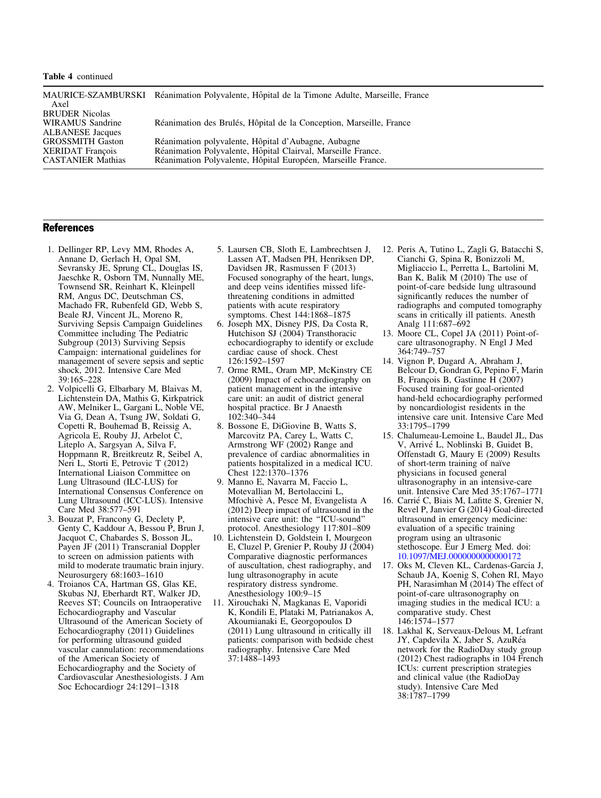| <b>Table 4</b> continued |
|--------------------------|
|                          |

|                          | MAURICE-SZAMBURSKI Réanimation Polyvalente, Hôpital de la Timone Adulte, Marseille, France |
|--------------------------|--------------------------------------------------------------------------------------------|
| Axel                     |                                                                                            |
| <b>BRUDER Nicolas</b>    |                                                                                            |
| WIRAMUS Sandrine         | Réanimation des Brulés, Hôpital de la Conception, Marseille, France                        |
| <b>ALBANESE</b> Jacques  |                                                                                            |
| <b>GROSSMITH Gaston</b>  | Réanimation polyvalente, Hôpital d'Aubagne, Aubagne                                        |
| <b>XERIDAT</b> François  | Réanimation Polyvalente, Hôpital Clairval, Marseille France.                               |
| <b>CASTANIER Mathias</b> | Réanimation Polyvalente, Hôpital Européen, Marseille France.                               |
|                          |                                                                                            |

#### References

- 1. Dellinger RP, Levy MM, Rhodes A, Annane D, Gerlach H, Opal SM, Sevransky JE, Sprung CL, Douglas IS, Jaeschke R, Osborn TM, Nunnally ME, Townsend SR, Reinhart K, Kleinpell RM, Angus DC, Deutschman CS, Machado FR, Rubenfeld GD, Webb S, Beale RJ, Vincent JL, Moreno R, Surviving Sepsis Campaign Guidelines Committee including The Pediatric Subgroup (2013) Surviving Sepsis Campaign: international guidelines for management of severe sepsis and septic shock, 2012. Intensive Care Med 39:165–228
- 2. Volpicelli G, Elbarbary M, Blaivas M, Lichtenstein DA, Mathis G, Kirkpatrick AW, Melniker L, Gargani L, Noble VE, Via G, Dean A, Tsung JW, Soldati G, Copetti R, Bouhemad B, Reissig A, Agricola E, Rouby JJ, Arbelot C, Liteplo A, Sargsyan A, Silva F, Hoppmann R, Breitkreutz R, Seibel A, Neri L, Storti E, Petrovic T (2012) International Liaison Committee on Lung Ultrasound (ILC-LUS) for International Consensus Conference on Lung Ultrasound (ICC-LUS). Intensive Care Med 38:577–591
- 3. Bouzat P, Francony G, Declety P, Genty C, Kaddour A, Bessou P, Brun J, Jacquot C, Chabardes S, Bosson JL, Payen JF (2011) Transcranial Doppler to screen on admission patients with mild to moderate traumatic brain injury. Neurosurgery 68:1603–1610
- 4. Troianos CA, Hartman GS, Glas KE, Skubas NJ, Eberhardt RT, Walker JD, Reeves ST; Councils on Intraoperative Echocardiography and Vascular Ultrasound of the American Society of Echocardiography (2011) Guidelines for performing ultrasound guided vascular cannulation: recommendations of the American Society of Echocardiography and the Society of Cardiovascular Anesthesiologists. J Am Soc Echocardiogr 24:1291–1318
- 5. Laursen CB, Sloth E, Lambrechtsen J, Lassen AT, Madsen PH, Henriksen DP, Davidsen JR, Rasmussen F (2013) Focused sonography of the heart, lungs, and deep veins identifies missed lifethreatening conditions in admitted patients with acute respiratory symptoms. Chest 144:1868–1875
- 6. Joseph MX, Disney PJS, Da Costa R, Hutchison SJ (2004) Transthoracic echocardiography to identify or exclude cardiac cause of shock. Chest 126:1592–1597
- 7. Orme RML, Oram MP, McKinstry CE (2009) Impact of echocardiography on patient management in the intensive care unit: an audit of district general hospital practice. Br J Anaesth 102:340–344
- 8. Bossone E, DiGiovine B, Watts S, Marcovitz PA, Carey L, Watts C, Armstrong WF (2002) Range and prevalence of cardiac abnormalities in patients hospitalized in a medical ICU. Chest 122:1370–1376
- 9. Manno E, Navarra M, Faccio L, Motevallian M, Bertolaccini L, Mfochivè A, Pesce M, Evangelista A (2012) Deep impact of ultrasound in the intensive care unit: the ''ICU-sound'' protocol. Anesthesiology 117:801–809
- 10. Lichtenstein D, Goldstein I, Mourgeon E, Cluzel P, Grenier P, Rouby JJ (2004) Comparative diagnostic performances of auscultation, chest radiography, and lung ultrasonography in acute respiratory distress syndrome. Anesthesiology 100:9–15
- 11. Xirouchaki N, Magkanas E, Vaporidi K, Kondili E, Plataki M, Patrianakos A, Akoumianaki E, Georgopoulos D (2011) Lung ultrasound in critically ill patients: comparison with bedside chest radiography. Intensive Care Med 37:1488–1493
- 12. Peris A, Tutino L, Zagli G, Batacchi S, Cianchi G, Spina R, Bonizzoli M, Migliaccio L, Perretta L, Bartolini M, Ban K, Balik M (2010) The use of point-of-care bedside lung ultrasound significantly reduces the number of radiographs and computed tomography scans in critically ill patients. Anesth Analg 111:687–692
- 13. Moore CL, Copel JA (2011) Point-ofcare ultrasonography. N Engl J Med 364:749–757
- 14. Vignon P, Dugard A, Abraham J, Belcour D, Gondran G, Pepino F, Marin B, François B, Gastinne H (2007) Focused training for goal-oriented hand-held echocardiography performed by noncardiologist residents in the intensive care unit. Intensive Care Med 33:1795–1799
- 15. Chalumeau-Lemoine L, Baudel JL, Das V, Arrivé L, Noblinski B, Guidet B, Offenstadt G, Maury E (2009) Results of short-term training of naïve physicians in focused general ultrasonography in an intensive-care unit. Intensive Care Med 35:1767–1771
- 16. Carrié C, Biais M, Lafitte S, Grenier N, Revel P, Janvier G (2014) Goal-directed ultrasound in emergency medicine: evaluation of a specific training program using an ultrasonic stethoscope. Eur J Emerg Med. doi: [10.1097/MEJ.0000000000000172](http://dx.doi.org/10.1097/MEJ.0000000000000172)
- 17. Oks M, Cleven KL, Cardenas-Garcia J, Schaub JA, Koenig S, Cohen RI, Mayo PH, Narasimhan M (2014) The effect of point-of-care ultrasonography on imaging studies in the medical ICU: a comparative study. Chest 146:1574–1577
- 18. Lakhal K, Serveaux-Delous M, Lefrant JY, Capdevila X, Jaber S, AzuRéa network for the RadioDay study group (2012) Chest radiographs in 104 French ICUs: current prescription strategies and clinical value (the RadioDay study). Intensive Care Med 38:1787–1799